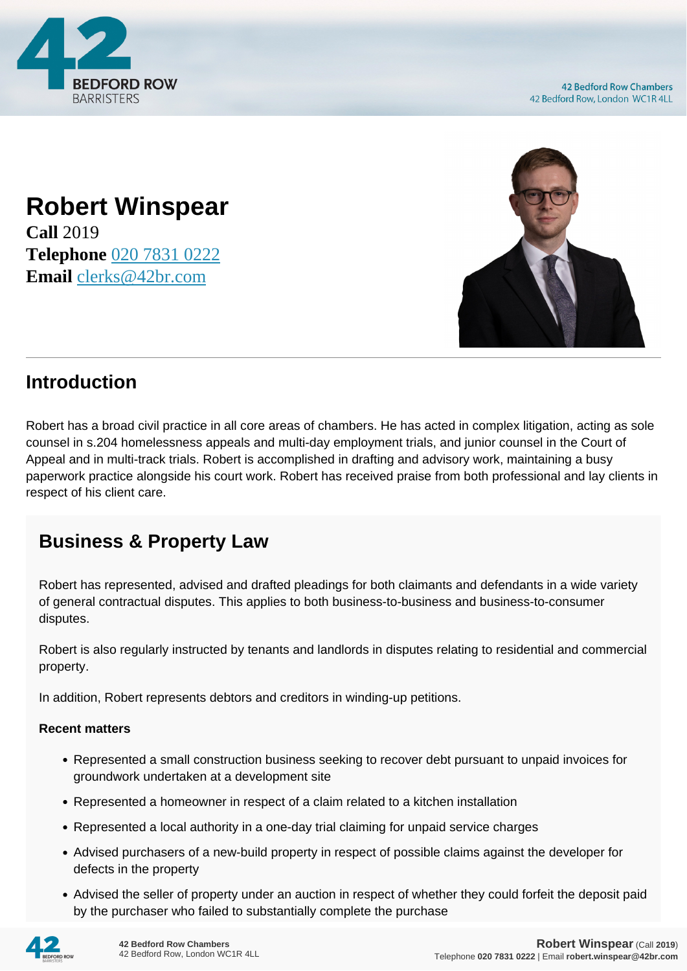

**42 Bedford Row Chambers** 42 Bedford Row, London WC1R 4LL

## **Robert Winspear Call** 2019 **Telephone** [020 7831 0222](https://pdf.codeshore.co/_42br/tel:020 7831 0222) **Email** [clerks@42br.com](mailto:clerks@42br.com)



## **Introduction**

Robert has a broad civil practice in all core areas of chambers. He has acted in complex litigation, acting as sole counsel in s.204 homelessness appeals and multi-day employment trials, and junior counsel in the Court of Appeal and in multi-track trials. Robert is accomplished in drafting and advisory work, maintaining a busy paperwork practice alongside his court work. Robert has received praise from both professional and lay clients in respect of his client care.

## **Business & Property Law**

Robert has represented, advised and drafted pleadings for both claimants and defendants in a wide variety of general contractual disputes. This applies to both business-to-business and business-to-consumer disputes.

Robert is also regularly instructed by tenants and landlords in disputes relating to residential and commercial property.

In addition, Robert represents debtors and creditors in winding-up petitions.

## **Recent matters**

- Represented a small construction business seeking to recover debt pursuant to unpaid invoices for groundwork undertaken at a development site
- Represented a homeowner in respect of a claim related to a kitchen installation
- Represented a local authority in a one-day trial claiming for unpaid service charges
- Advised purchasers of a new-build property in respect of possible claims against the developer for defects in the property
- Advised the seller of property under an auction in respect of whether they could forfeit the deposit paid by the purchaser who failed to substantially complete the purchase